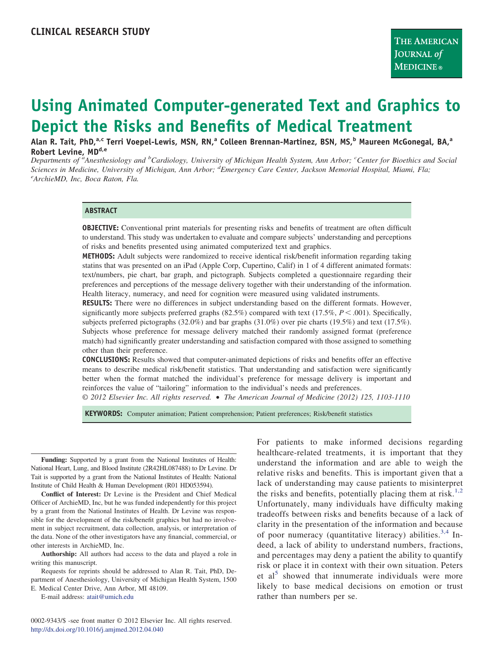# **Using Animated Computer-generated Text and Graphics to Depict the Risks and Benefits of Medical Treatment**

**Alan R. Tait, PhD,a,c Terri Voepel-Lewis, MSN, RN,<sup>a</sup> Colleen Brennan-Martinez, BSN, MS,<sup>b</sup> Maureen McGonegal, BA,<sup>a</sup> Robert Levine, MDd,e**

*Departments of <sup>a</sup> Anesthesiology and <sup>b</sup> Cardiology, University of Michigan Health System, Ann Arbor; <sup>c</sup> Center for Bioethics and Social Sciences in Medicine, University of Michigan, Ann Arbor; <sup>d</sup> Emergency Care Center, Jackson Memorial Hospital, Miami, Fla; <sup>e</sup> ArchieMD, Inc, Boca Raton, Fla.*

#### **ABSTRACT**

**OBJECTIVE:** Conventional print materials for presenting risks and benefits of treatment are often difficult to understand. This study was undertaken to evaluate and compare subjects' understanding and perceptions of risks and benefits presented using animated computerized text and graphics.

**METHODS:** Adult subjects were randomized to receive identical risk/benefit information regarding taking statins that was presented on an iPad (Apple Corp, Cupertino, Calif) in 1 of 4 different animated formats: text/numbers, pie chart, bar graph, and pictograph. Subjects completed a questionnaire regarding their preferences and perceptions of the message delivery together with their understanding of the information. Health literacy, numeracy, and need for cognition were measured using validated instruments.

**RESULTS:** There were no differences in subject understanding based on the different formats. However, significantly more subjects preferred graphs  $(82.5\%)$  compared with text  $(17.5\%, P < .001)$ . Specifically, subjects preferred pictographs (32.0%) and bar graphs (31.0%) over pie charts (19.5%) and text (17.5%). Subjects whose preference for message delivery matched their randomly assigned format (preference match) had significantly greater understanding and satisfaction compared with those assigned to something other than their preference.

**CONCLUSIONS:** Results showed that computer-animated depictions of risks and benefits offer an effective means to describe medical risk/benefit statistics. That understanding and satisfaction were significantly better when the format matched the individual's preference for message delivery is important and reinforces the value of "tailoring" information to the individual's needs and preferences.

*© 2012 Elsevier Inc. All rights reserved.* • *The American Journal of Medicine (2012) 125, 1103-1110*

**KEYWORDS:** Computer animation; Patient comprehension; Patient preferences; Risk/benefit statistics

**Funding:** Supported by a grant from the National Institutes of Health: National Heart, Lung, and Blood Institute (2R42HL087488) to Dr Levine. Dr Tait is supported by a grant from the National Institutes of Health: National Institute of Child Health & Human Development (R01 HD053594).

**Conflict of Interest:** Dr Levine is the President and Chief Medical Officer of ArchieMD, Inc, but he was funded independently for this project by a grant from the National Institutes of Health. Dr Levine was responsible for the development of the risk/benefit graphics but had no involvement in subject recruitment, data collection, analysis, or interpretation of the data. None of the other investigators have any financial, commercial, or other interests in ArchieMD, Inc.

**Authorship:** All authors had access to the data and played a role in writing this manuscript.

Requests for reprints should be addressed to Alan R. Tait, PhD, Department of Anesthesiology, University of Michigan Health System, 1500 E. Medical Center Drive, Ann Arbor, MI 48109.

E-mail address: [atait@umich.edu](mailto:atait@umich.edu)

For patients to make informed decisions regarding healthcare-related treatments, it is important that they understand the information and are able to weigh the relative risks and benefits. This is important given that a lack of understanding may cause patients to misinterpret the risks and benefits, potentially placing them at risk.<sup>[1,2](#page-6-0)</sup> Unfortunately, many individuals have difficulty making tradeoffs between risks and benefits because of a lack of clarity in the presentation of the information and because of poor numeracy (quantitative literacy) abilities.<sup>[3,4](#page-6-1)</sup> Indeed, a lack of ability to understand numbers, fractions, and percentages may deny a patient the ability to quantify risk or place it in context with their own situation. Peters et  $al<sup>5</sup>$  $al<sup>5</sup>$  $al<sup>5</sup>$  showed that innumerate individuals were more likely to base medical decisions on emotion or trust rather than numbers per se.

<sup>0002-9343/\$ -</sup>see front matter © 2012 Elsevier Inc. All rights reserved. <http://dx.doi.org/10.1016/j.amjmed.2012.04.040>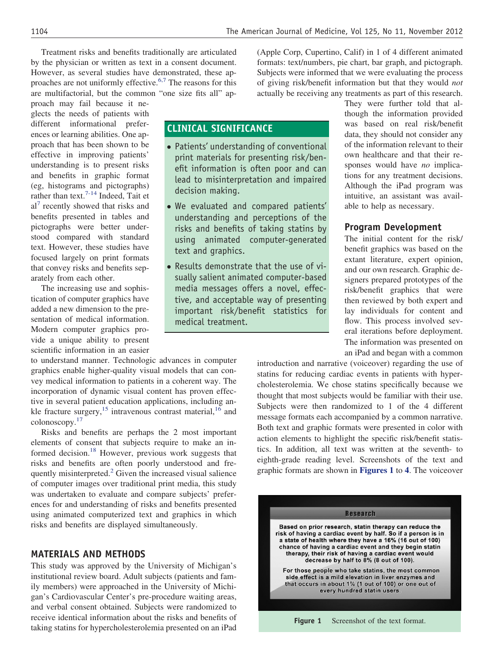Treatment risks and benefits traditionally are articulated by the physician or written as text in a consent document. However, as several studies have demonstrated, these approaches are not uniformly effective. $6,7$  The reasons for this are multifactorial, but the common "one size fits all" ap-

proach may fail because it neglects the needs of patients with different informational preferences or learning abilities. One approach that has been shown to be effective in improving patients' understanding is to present risks and benefits in graphic format (eg, histograms and pictographs) rather than text.<sup>7-14</sup> Indeed, Tait et al<sup>[7](#page-6-4)</sup> recently showed that risks and benefits presented in tables and pictographs were better understood compared with standard text. However, these studies have focused largely on print formats that convey risks and benefits separately from each other.

The increasing use and sophistication of computer graphics have added a new dimension to the presentation of medical information. Modern computer graphics provide a unique ability to present scientific information in an easier

to understand manner. Technologic advances in computer graphics enable higher-quality visual models that can convey medical information to patients in a coherent way. The incorporation of dynamic visual content has proven effective in several patient education applications, including an-kle fracture surgery,<sup>[15](#page-6-5)</sup> intravenous contrast material,<sup>[16](#page-6-6)</sup> and colonoscopy[.17](#page-6-7)

Risks and benefits are perhaps the 2 most important elements of consent that subjects require to make an in-formed decision.<sup>[18](#page-6-8)</sup> However, previous work suggests that risks and benefits are often poorly understood and frequently misinterpreted. $^{2}$  $^{2}$  $^{2}$  Given the increased visual salience of computer images over traditional print media, this study was undertaken to evaluate and compare subjects' preferences for and understanding of risks and benefits presented using animated computerized text and graphics in which risks and benefits are displayed simultaneously.

# **MATERIALS AND METHODS**

This study was approved by the University of Michigan's institutional review board. Adult subjects (patients and family members) were approached in the University of Michigan's Cardiovascular Center's pre-procedure waiting areas, and verbal consent obtained. Subjects were randomized to receive identical information about the risks and benefits of taking statins for hypercholesterolemia presented on an iPad

(Apple Corp, Cupertino, Calif) in 1 of 4 different animated formats: text/numbers, pie chart, bar graph, and pictograph. Subjects were informed that we were evaluating the process of giving risk/benefit information but that they would *not* actually be receiving any treatments as part of this research.

# **CLINICAL SIGNIFICANCE**

- Patients' understanding of conventional print materials for presenting risk/benefit information is often poor and can lead to misinterpretation and impaired decision making.
- We evaluated and compared patients' understanding and perceptions of the risks and benefits of taking statins by using animated computer-generated text and graphics.
- Results demonstrate that the use of visually salient animated computer-based media messages offers a novel, effective, and acceptable way of presenting important risk/benefit statistics for medical treatment.

They were further told that although the information provided was based on real risk/benefit data, they should not consider any of the information relevant to their own healthcare and that their responses would have *no* implications for any treatment decisions. Although the iPad program was intuitive, an assistant was available to help as necessary.

## **Program Development**

The initial content for the risk/ benefit graphics was based on the extant literature, expert opinion, and our own research. Graphic designers prepared prototypes of the risk/benefit graphics that were then reviewed by both expert and lay individuals for content and flow. This process involved several iterations before deployment. The information was presented on an iPad and began with a common

introduction and narrative (voiceover) regarding the use of statins for reducing cardiac events in patients with hypercholesterolemia. We chose statins specifically because we thought that most subjects would be familiar with their use. Subjects were then randomized to 1 of the 4 different message formats each accompanied by a common narrative. Both text and graphic formats were presented in color with action elements to highlight the specific risk/benefit statistics. In addition, all text was written at the seventh- to eighth-grade reading level. Screenshots of the text and graphic formats are shown in **[Figures 1](#page-1-0)** to **[4](#page-3-0)**. The voiceover

<span id="page-1-0"></span>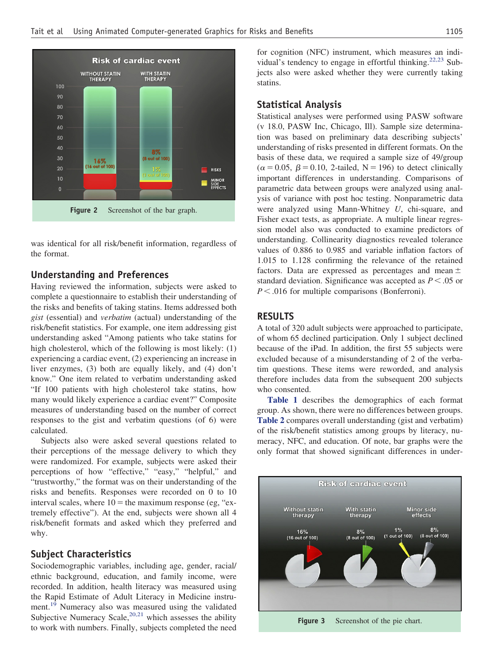

was identical for all risk/benefit information, regardless of the format.

#### **Understanding and Preferences**

Having reviewed the information, subjects were asked to complete a questionnaire to establish their understanding of the risks and benefits of taking statins. Items addressed both *gist* (essential) and *verbatim* (actual) understanding of the risk/benefit statistics. For example, one item addressing gist understanding asked "Among patients who take statins for high cholesterol, which of the following is most likely: (1) experiencing a cardiac event, (2) experiencing an increase in liver enzymes, (3) both are equally likely, and (4) don't know." One item related to verbatim understanding asked "If 100 patients with high cholesterol take statins, how many would likely experience a cardiac event?" Composite measures of understanding based on the number of correct responses to the gist and verbatim questions (of 6) were calculated.

Subjects also were asked several questions related to their perceptions of the message delivery to which they were randomized. For example, subjects were asked their perceptions of how "effective," "easy," "helpful," and "trustworthy," the format was on their understanding of the risks and benefits. Responses were recorded on 0 to 10 interval scales, where  $10 =$  the maximum response (eg, "extremely effective"). At the end, subjects were shown all 4 risk/benefit formats and asked which they preferred and why.

## **Subject Characteristics**

Sociodemographic variables, including age, gender, racial/ ethnic background, education, and family income, were recorded. In addition, health literacy was measured using the Rapid Estimate of Adult Literacy in Medicine instru-ment.<sup>[19](#page-6-10)</sup> Numeracy also was measured using the validated Subjective Numeracy Scale,  $20,21$  which assesses the ability to work with numbers. Finally, subjects completed the need for cognition (NFC) instrument, which measures an indi-vidual's tendency to engage in effortful thinking.<sup>[22,23](#page-6-12)</sup> Subjects also were asked whether they were currently taking statins.

#### **Statistical Analysis**

Statistical analyses were performed using PASW software (v 18.0, PASW Inc, Chicago, Ill). Sample size determination was based on preliminary data describing subjects' understanding of risks presented in different formats. On the basis of these data, we required a sample size of 49/group  $(\alpha = 0.05, \beta = 0.10, 2$ -tailed, N = 196) to detect clinically important differences in understanding. Comparisons of parametric data between groups were analyzed using analysis of variance with post hoc testing. Nonparametric data were analyzed using Mann-Whitney *U*, chi-square, and Fisher exact tests, as appropriate. A multiple linear regression model also was conducted to examine predictors of understanding. Collinearity diagnostics revealed tolerance values of 0.886 to 0.985 and variable inflation factors of 1.015 to 1.128 confirming the relevance of the retained factors. Data are expressed as percentages and mean  $\pm$ standard deviation. Significance was accepted as  $P < .05$  or *P* < .016 for multiple comparisons (Bonferroni).

#### **RESULTS**

A total of 320 adult subjects were approached to participate, of whom 65 declined participation. Only 1 subject declined because of the iPad. In addition, the first 55 subjects were excluded because of a misunderstanding of 2 of the verbatim questions. These items were reworded, and analysis therefore includes data from the subsequent 200 subjects who consented.

**[Table 1](#page-3-1)** describes the demographics of each format group. As shown, there were no differences between groups. **[Table 2](#page-4-0)** compares overall understanding (gist and verbatim) of the risk/benefit statistics among groups by literacy, numeracy, NFC, and education. Of note, bar graphs were the only format that showed significant differences in under-

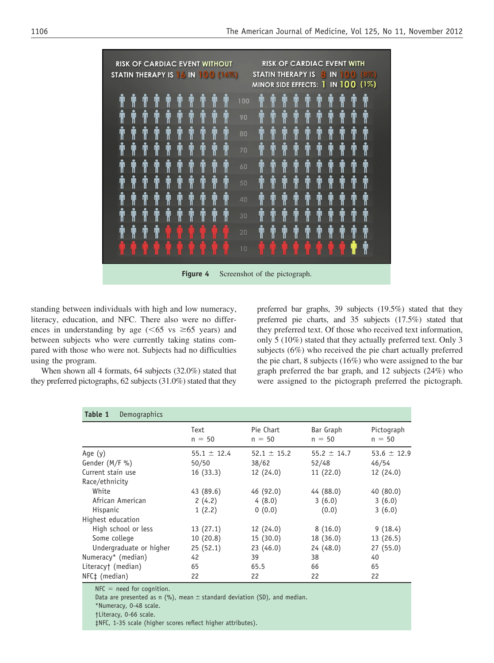

<span id="page-3-0"></span>**Figure 4** Screenshot of the pictograph.

standing between individuals with high and low numeracy, literacy, education, and NFC. There also were no differences in understanding by age ( $\leq 65$  vs  $\geq 65$  years) and between subjects who were currently taking statins compared with those who were not. Subjects had no difficulties using the program.

When shown all 4 formats, 64 subjects (32.0%) stated that they preferred pictographs, 62 subjects (31.0%) stated that they

preferred bar graphs, 39 subjects (19.5%) stated that they preferred pie charts, and 35 subjects (17.5%) stated that they preferred text. Of those who received text information, only 5 (10%) stated that they actually preferred text. Only 3 subjects (6%) who received the pie chart actually preferred the pie chart, 8 subjects (16%) who were assigned to the bar graph preferred the bar graph, and 12 subjects (24%) who were assigned to the pictograph preferred the pictograph.

<span id="page-3-1"></span>

| Table 1<br>Demographics |                  |                       |                       |                        |  |
|-------------------------|------------------|-----------------------|-----------------------|------------------------|--|
|                         | Text<br>$n = 50$ | Pie Chart<br>$n = 50$ | Bar Graph<br>$n = 50$ | Pictograph<br>$n = 50$ |  |
| Age $(y)$               | 55.1 $\pm$ 12.4  | $52.1 \pm 15.2$       | 55.2 $\pm$ 14.7       | 53.6 $\pm$ 12.9        |  |
| Gender (M/F %)          | 50/50            | 38/62                 | 52/48                 | 46/54                  |  |
| Current stain use       | 16(33.3)         | 12 (24.0)             | 11(22.0)              | 12(24.0)               |  |
| Race/ethnicity          |                  |                       |                       |                        |  |
| White                   | 43 (89.6)        | 46 (92.0)             | 44 (88.0)             | 40(80.0)               |  |
| African American        | 2(4.2)           | 4(8.0)                | 3(6.0)                | 3(6.0)                 |  |
| Hispanic                | 1(2.2)           | 0(0.0)                | (0.0)                 | 3(6.0)                 |  |
| Highest education       |                  |                       |                       |                        |  |
| High school or less     | 13(27.1)         | 12(24.0)              | 8(16.0)               | 9(18.4)                |  |
| Some college            | 10(20.8)         | 15(30.0)              | 18(36.0)              | 13(26.5)               |  |
| Undergraduate or higher | 25(52.1)         | 23(46.0)              | 24(48.0)              | 27(55.0)               |  |
| Numeracy* (median)      | 42               | 39                    | 38                    | 40                     |  |
| Literacy† (median)      | 65               | 65.5                  | 66                    | 65                     |  |
| NFC‡ (median)           | 22               | 22                    | 22                    | 22                     |  |

 $NFC$  = need for cognition.

Data are presented as n (%), mean  $\pm$  standard deviation (SD), and median.

\*Numeracy, 0-48 scale.

†Literacy, 0-66 scale.

‡NFC, 1-35 scale (higher scores reflect higher attributes).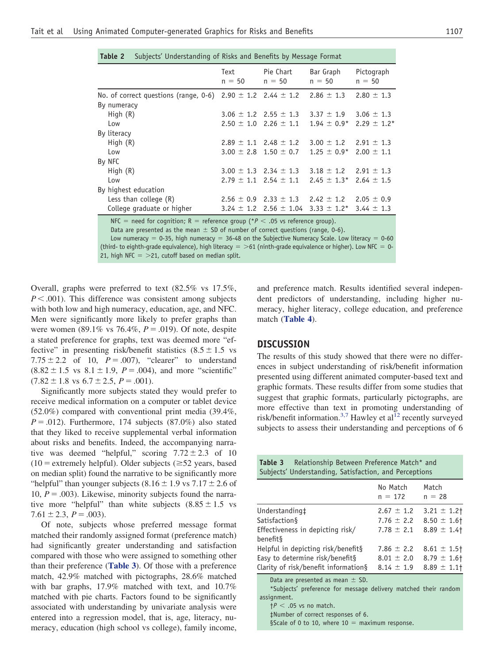<span id="page-4-0"></span>

| Table 2 |  | Subjects' Understanding of Risks and Benefits by Message Format |  |  |  |  |
|---------|--|-----------------------------------------------------------------|--|--|--|--|
|---------|--|-----------------------------------------------------------------|--|--|--|--|

|                                                                                    | Text<br>$n = 50$              | Pie Chart<br>$n = 50$                           | Bar Graph<br>$n = 50$ | Pictograph<br>$n = 50$ |
|------------------------------------------------------------------------------------|-------------------------------|-------------------------------------------------|-----------------------|------------------------|
| No. of correct questions (range, 0-6) 2.90 $\pm$ 1.2 2.44 $\pm$ 1.2 2.86 $\pm$ 1.3 |                               |                                                 |                       | $2.80 \pm 1.3$         |
| By numeracy                                                                        |                               |                                                 |                       |                        |
| High $(R)$                                                                         |                               | $3.06 \pm 1.2$ $2.55 \pm 1.3$                   | $3.37 \pm 1.9$        | $3.06 \pm 1.3$         |
| Low                                                                                |                               | $2.50 \pm 1.0$ $2.26 \pm 1.1$                   | $1.94 \pm 0.9*$       | $2.29 \pm 1.2^*$       |
| By literacy                                                                        |                               |                                                 |                       |                        |
| High $(R)$                                                                         |                               | $2.89 \pm 1.1$ $2.48 \pm 1.2$                   | $3.00 \pm 1.2$        | $2.91 \pm 1.3$         |
| Low                                                                                |                               | $3.00 \pm 2.8$ 1.50 $\pm$ 0.7                   | $1.25 \pm 0.9*$       | $2.00 \pm 1.1$         |
| By NFC                                                                             |                               |                                                 |                       |                        |
| High $(R)$                                                                         |                               | $3.00 \pm 1.3$ $2.34 \pm 1.3$                   | $3.18 \pm 1.2$        | $2.91 \pm 1.3$         |
| Low                                                                                |                               | $2.79 \pm 1.1$ $2.54 \pm 1.1$                   | $2.45 \pm 1.3^*$      | $2.64 \pm 1.5$         |
| By highest education                                                               |                               |                                                 |                       |                        |
| Less than college $(R)$                                                            | $2.56 \pm 0.9$ $2.33 \pm 1.3$ |                                                 | $2.42 \pm 1.2$        | $2.05 \pm 0.9$         |
| College graduate or higher                                                         |                               | $3.24 \pm 1.2$ $2.56 \pm 1.04$ $3.33 \pm 1.2^*$ |                       | $3.44 \pm 1.3$         |
| NFC = need for cognition: R = reference group $(^{\ast}P$ < 05 vs reference group) |                               |                                                 |                       |                        |

 $NFC =$  $=$  need for cognition; R  $=$  $=$  reference group (\* $P < .05$  vs reference group).

Data are presented as the mean  $\pm$  SD of number of correct questions (range, 0-6).

Low numeracy  $=$  0-35, high numeracy  $=$  36-48 on the Subjective Numeracy Scale. Low literacy  $=$  0-60 (third- to eighth-grade equivalence), high literacy  $=$   $>$ 61 (ninth-grade equivalence or higher). Low NFC  $=$  0-21, high NFC  $=$   $>$ 21, cutoff based on median split.

Overall, graphs were preferred to text (82.5% vs 17.5%,  $P < .001$ ). This difference was consistent among subjects with both low and high numeracy, education, age, and NFC. Men were significantly more likely to prefer graphs than were women  $(89.1\% \text{ vs } 76.4\%, P = .019)$ . Of note, despite a stated preference for graphs, text was deemed more "effective" in presenting risk/benefit statistics  $(8.5 \pm 1.5 \text{ vs }$  $7.75 \pm 2.2$  of 10,  $P = .007$ ), "clearer" to understand  $(8.82 \pm 1.5 \text{ vs } 8.1 \pm 1.9, P = .004)$ , and more "scientific"  $(7.82 \pm 1.8 \text{ vs } 6.7 \pm 2.5, P = .001).$ 

Significantly more subjects stated they would prefer to receive medical information on a computer or tablet device (52.0%) compared with conventional print media (39.4%,  $P = .012$ ). Furthermore, 174 subjects (87.0%) also stated that they liked to receive supplemental verbal information about risks and benefits. Indeed, the accompanying narrative was deemed "helpful," scoring  $7.72 \pm 2.3$  of 10  $(10 =$  extremely helpful). Older subjects ( $\geq 52$  years, based on median split) found the narrative to be significantly more "helpful" than younger subjects  $(8.16 \pm 1.9 \text{ vs } 7.17 \pm 2.6 \text{ of }$ 10,  $P = .003$ ). Likewise, minority subjects found the narrative more "helpful" than white subjects  $(8.85 \pm 1.5 \text{ vs } 1.5 \text{ or } 1.5 \text{ or } 1.5 \text{ or } 1.5 \text{ or } 1.5 \text{ or } 1.5 \text{ or } 1.5 \text{ or } 1.5 \text{ or } 1.5 \text{ or } 1.5 \text{ or } 1.5 \text{ or } 1.5 \text{ or } 1.5 \text{ or } 1.5 \text{ or } 1.5 \text{ or } 1.5 \text{ or } 1.5 \text{ or } 1.5 \text{ or } 1$  $7.61 \pm 2.3$ ,  $P = .003$ ).

Of note, subjects whose preferred message format matched their randomly assigned format (preference match) had significantly greater understanding and satisfaction compared with those who were assigned to something other than their preference (**[Table 3](#page-4-1)**). Of those with a preference match, 42.9% matched with pictographs, 28.6% matched with bar graphs, 17.9% matched with text, and 10.7% matched with pie charts. Factors found to be significantly associated with understanding by univariate analysis were entered into a regression model, that is, age, literacy, numeracy, education (high school vs college), family income, and preference match. Results identified several independent predictors of understanding, including higher numeracy, higher literacy, college education, and preference match (**[Table 4](#page-5-0)**).

#### **DISCUSSION**

The results of this study showed that there were no differences in subject understanding of risk/benefit information presented using different animated computer-based text and graphic formats. These results differ from some studies that suggest that graphic formats, particularly pictographs, are more effective than text in promoting understanding of risk/benefit information.<sup>[3,7](#page-6-1)</sup> Hawley et al<sup>12</sup> recently surveyed subjects to assess their understanding and perceptions of 6

<span id="page-4-1"></span>**Table 3** Relationship Between Preference Match\* and Subjects' Understanding, Satisfaction, and Perceptions

|                                      | No Match<br>$n = 172$ | Match<br>$n = 28$ |
|--------------------------------------|-----------------------|-------------------|
| Understanding <sup>+</sup>           | $2.67 \pm 1.2$        | $3.21 \pm 1.2$ †  |
| Satisfaction§                        | $7.76 \pm 2.2$        | $8.50 \pm 1.6$ †  |
| Effectiveness in depicting risk/     | 7.78 $\pm$ 2.1        | $8.89 \pm 1.4$    |
| benefit§                             |                       |                   |
| Helpful in depicting risk/benefit§   | 7.86 $\pm$ 2.2        | $8.61 \pm 1.5$ †  |
| Easy to determine risk/benefit§      | $8.01 \pm 2.0$        | $8.79 \pm 1.6$ †  |
| Clarity of risk/benefit information§ | $8.14 \pm 1.9$        | $8.89 \pm 1.1$ †  |

Data are presented as mean  $\pm$  SD.

\*Subjects' preference for message delivery matched their random assignment.

 $\uparrow$ *P* < .05 vs no match.

‡Number of correct responses of 6.

§ Scale of 0 to 10, where  $10 =$  maximum response.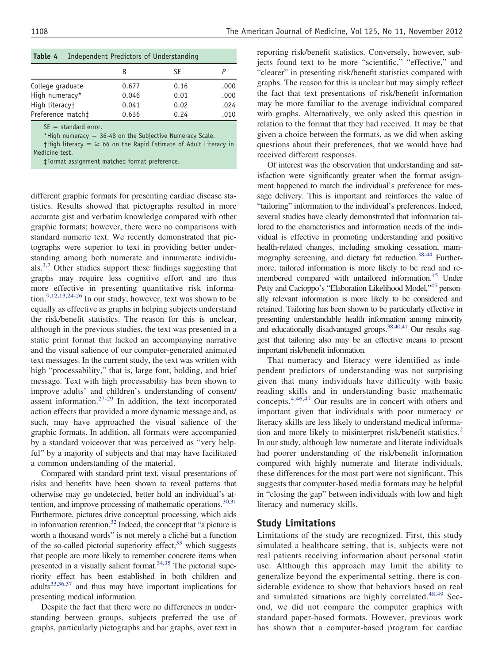<span id="page-5-0"></span>

| Independent Predictors of Understanding<br>Table 4 |       |      |      |  |
|----------------------------------------------------|-------|------|------|--|
|                                                    | B     | SF   |      |  |
| College graduate                                   | 0.677 | 0.16 | .000 |  |
| High numeracy*                                     | 0.046 | 0.01 | .000 |  |
| High literacy†                                     | 0.041 | 0.02 | .024 |  |
| Preference match‡                                  | 0.636 | 0.24 | .010 |  |

 $SE = standard error$ .

\*High numeracy  $= 36-48$  on the Subjective Numeracy Scale.

 $\dagger$ High literacy =  $\geq$  66 on the Rapid Estimate of Adult Literacy in Medicine test.

‡Format assignment matched format preference.

different graphic formats for presenting cardiac disease statistics. Results showed that pictographs resulted in more accurate gist and verbatim knowledge compared with other graphic formats; however, there were no comparisons with standard numeric text. We recently demonstrated that pictographs were superior to text in providing better understanding among both numerate and innumerate individu- $als<sup>3,7</sup>$  $als<sup>3,7</sup>$  $als<sup>3,7</sup>$  Other studies support these findings suggesting that graphs may require less cognitive effort and are thus more effective in presenting quantitative risk information.<sup>9,12,13,24-26</sup> In our study, however, text was shown to be equally as effective as graphs in helping subjects understand the risk/benefit statistics. The reason for this is unclear, although in the previous studies, the text was presented in a static print format that lacked an accompanying narrative and the visual salience of our computer-generated animated text messages. In the current study, the text was written with high "processability," that is, large font, bolding, and brief message. Text with high processability has been shown to improve adults' and children's understanding of consent/ assent information.<sup>[27-29](#page-6-15)</sup> In addition, the text incorporated action effects that provided a more dynamic message and, as such, may have approached the visual salience of the graphic formats. In addition, all formats were accompanied by a standard voiceover that was perceived as "very helpful" by a majority of subjects and that may have facilitated a common understanding of the material.

Compared with standard print text, visual presentations of risks and benefits have been shown to reveal patterns that otherwise may go undetected, better hold an individual's attention, and improve processing of mathematic operations. $30,31$ Furthermore, pictures drive conceptual processing, which aids in information retention.<sup>32</sup> Indeed, the concept that "a picture is worth a thousand words" is not merely a cliché but a function of the so-called pictorial superiority effect,  $33$  which suggests that people are more likely to remember concrete items when presented in a visually salient format.<sup>34,35</sup> The pictorial superiority effect has been established in both children and adults $33,36,37$  and thus may have important implications for presenting medical information.

Despite the fact that there were no differences in understanding between groups, subjects preferred the use of graphs, particularly pictographs and bar graphs, over text in reporting risk/benefit statistics. Conversely, however, subjects found text to be more "scientific," "effective," and "clearer" in presenting risk/benefit statistics compared with graphs. The reason for this is unclear but may simply reflect the fact that text presentations of risk/benefit information may be more familiar to the average individual compared with graphs. Alternatively, we only asked this question in relation to the format that they had received. It may be that given a choice between the formats, as we did when asking questions about their preferences, that we would have had received different responses.

Of interest was the observation that understanding and satisfaction were significantly greater when the format assignment happened to match the individual's preference for message delivery. This is important and reinforces the value of "tailoring" information to the individual's preferences. Indeed, several studies have clearly demonstrated that information tailored to the characteristics and information needs of the individual is effective in promoting understanding and positive health-related changes, including smoking cessation, mammography screening, and dietary fat reduction[.38-44](#page-7-0) Furthermore, tailored information is more likely to be read and remembered compared with untailored information.<sup>45</sup> Under Petty and Cacioppo's "Elaboration Likelihood Model,"<sup>45</sup> personally relevant information is more likely to be considered and retained. Tailoring has been shown to be particularly effective in presenting understandable health information among minority and educationally disadvantaged groups.<sup>38,40,41</sup> Our results suggest that tailoring also may be an effective means to present important risk/benefit information.

That numeracy and literacy were identified as independent predictors of understanding was not surprising given that many individuals have difficulty with basic reading skills and in understanding basic mathematic concepts.[4,46,47](#page-6-20) Our results are in concert with others and important given that individuals with poor numeracy or literacy skills are less likely to understand medical information and more likely to misinterpret risk/benefit statistics.<sup>2</sup> In our study, although low numerate and literate individuals had poorer understanding of the risk/benefit information compared with highly numerate and literate individuals, these differences for the most part were not significant. This suggests that computer-based media formats may be helpful in "closing the gap" between individuals with low and high literacy and numeracy skills.

#### **Study Limitations**

Limitations of the study are recognized. First, this study simulated a healthcare setting, that is, subjects were not real patients receiving information about personal statin use. Although this approach may limit the ability to generalize beyond the experimental setting, there is considerable evidence to show that behaviors based on real and simulated situations are highly correlated. $48,49$  Second, we did not compare the computer graphics with standard paper-based formats. However, previous work has shown that a computer-based program for cardiac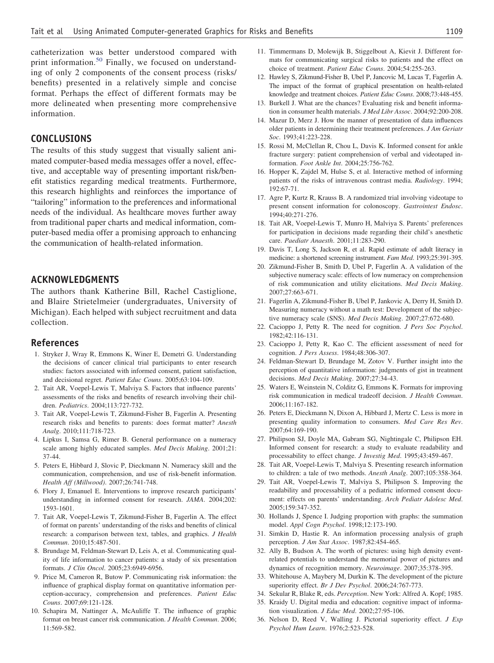catheterization was better understood compared with print information.<sup>[50](#page-7-3)</sup> Finally, we focused on understanding of only 2 components of the consent process (risks/ benefits) presented in a relatively simple and concise format. Perhaps the effect of different formats may be more delineated when presenting more comprehensive information.

# **CONCLUSIONS**

The results of this study suggest that visually salient animated computer-based media messages offer a novel, effective, and acceptable way of presenting important risk/benefit statistics regarding medical treatments. Furthermore, this research highlights and reinforces the importance of "tailoring" information to the preferences and informational needs of the individual. As healthcare moves further away from traditional paper charts and medical information, computer-based media offer a promising approach to enhancing the communication of health-related information.

#### **ACKNOWLEDGMENTS**

The authors thank Katherine Bill, Rachel Castiglione, and Blaire Strietelmeier (undergraduates, University of Michigan). Each helped with subject recruitment and data collection.

#### <span id="page-6-0"></span>**References**

- 1. Stryker J, Wray R, Emmons K, Winer E, Demetri G. Understanding the decisions of cancer clinical trial participants to enter research studies: factors associated with informed consent, patient satisfaction, and decisional regret. *Patient Educ Couns*. 2005;63:104-109.
- <span id="page-6-9"></span>2. Tait AR, Voepel-Lewis T, Malviya S. Factors that influence parents' assessments of the risks and benefits of research involving their children. *Pediatrics*. 2004;113:727-732.
- <span id="page-6-1"></span>3. Tait AR, Voepel-Lewis T, Zikmund-Fisher B, Fagerlin A. Presenting research risks and benefits to parents: does format matter? *Anesth Analg*. 2010;111:718-723.
- <span id="page-6-20"></span>4. Lipkus I, Samsa G, Rimer B. General performance on a numeracy scale among highly educated samples. *Med Decis Making*. 2001;21: 37-44.
- <span id="page-6-2"></span>5. Peters E, Hibbard J, Slovic P, Dieckmann N. Numeracy skill and the communication, comprehension, and use of risk-benefit information. *Health Aff (Millwood)*. 2007;26:741-748.
- <span id="page-6-3"></span>6. Flory J, Emanuel E. Interventions to improve research participants' understanding in informed consent for research. *JAMA*. 2004;202: 1593-1601.
- <span id="page-6-4"></span>7. Tait AR, Voepel-Lewis T, Zikmund-Fisher B, Fagerlin A. The effect of format on parents' understanding of the risks and benefits of clinical research: a comparison between text, tables, and graphics. *J Health Commun*. 2010;15:487-501.
- 8. Brundage M, Feldman-Stewart D, Leis A, et al. Communicating quality of life information to cancer patients: a study of six presentation formats. *J Clin Oncol*. 2005;23:6949-6956.
- <span id="page-6-14"></span>9. Price M, Cameron R, Butow P. Communicating risk information: the influence of graphical display format on quantitative information perception-accuracy, comprehension and preferences. *Patient Educ Couns*. 2007;69:121-128.
- 10. Schapira M, Nattinger A, McAuliffe T. The influence of graphic format on breast cancer risk communication. *J Health Commun*. 2006; 11:569-582.
- 11. Timmermans D, Molewijk B, Stiggelbout A, Kievit J. Different formats for communicating surgical risks to patients and the effect on choice of treatment. *Patient Educ Couns*. 2004;54:255-263.
- <span id="page-6-13"></span>12. Hawley S, Zikmund-Fisher B, Ubel P, Jancovic M, Lucas T, Fagerlin A. The impact of the format of graphical presentation on health-related knowledge and treatment choices. *Patient Educ Couns*. 2008;73:448-455.
- 13. Burkell J. What are the chances? Evaluating risk and benefit information in consumer health materials. *J Med Libr Assoc*. 2004;92:200-208.
- 14. Mazur D, Merz J. How the manner of presentation of data influences older patients in determining their treatment preferences. *J Am Geriatr Soc*. 1993;41:223-228.
- <span id="page-6-5"></span>15. Rossi M, McClellan R, Chou L, Davis K. Informed consent for ankle fracture surgery: patient comprehension of verbal and videotaped information. *Foot Ankle Int*. 2004;25:756-762.
- <span id="page-6-6"></span>16. Hopper K, Zajdel M, Hulse S, et al. Interactive method of informing patients of the risks of intravenous contrast media. *Radiology*. 1994; 192:67-71.
- <span id="page-6-7"></span>17. Agre P, Kurtz R, Krauss B. A randomized trial involving videotape to present consent information for colonoscopy. *Gastrointest Endosc*. 1994;40:271-276.
- <span id="page-6-8"></span>18. Tait AR, Voepel-Lewis T, Munro H, Malviya S. Parents' preferences for participation in decisions made regarding their child's anesthetic care. *Paediatr Anaesth*. 2001;11:283-290.
- <span id="page-6-11"></span><span id="page-6-10"></span>19. Davis T, Long S, Jackson R, et al. Rapid estimate of adult literacy in medicine: a shortened screening instrument. *Fam Med*. 1993;25:391-395.
- 20. Zikmund-Fisher B, Smith D, Ubel P, Fagerlin A. A validation of the subjective numeracy scale: effects of low numeracy on comprehension of risk communication and utility elicitations. *Med Decis Making*. 2007;27:663-671.
- 21. Fagerlin A, Zikmund-Fisher B, Ubel P, Jankovic A, Derry H, Smith D. Measuring numeracy without a math test: Development of the subjective numeracy scale (SNS). *Med Decis Making*. 2007;27:672-680.
- <span id="page-6-12"></span>22. Cacioppo J, Petty R. The need for cognition. *J Pers Soc Psychol*. 1982;42:116-131.
- 23. Cacioppo J, Petty R, Kao C. The efficient assessment of need for cognition. *J Pers Assess*. 1984;48:306-307.
- 24. Feldman-Stewart D, Brundage M, Zotov V. Further insight into the perception of quantitative information: judgments of gist in treatment decisions. *Med Decis Making*. 2007;27:34-43.
- 25. Waters E, Weinstein N, Colditz G, Emmons K. Formats for improving risk communication in medical tradeoff decision. *J Health Commun*. 2006;11:167-182.
- 26. Peters E, Dieckmann N, Dixon A, Hibbard J, Mertz C. Less is more in presenting quality information to consumers. *Med Care Res Rev*. 2007;64:169-190.
- <span id="page-6-15"></span>27. Philipson SJ, Doyle MA, Gabram SG, Nightingale C, Philipson EH. Informed consent for research: a study to evaluate readability and processability to effect change. *J Investig Med*. 1995;43:459-467.
- 28. Tait AR, Voepel-Lewis T, Malviya S. Presenting research information to children: a tale of two methods. *Anesth Analg*. 2007;105:358-364.
- 29. Tait AR, Voepel-Lewis T, Malviya S, Philipson S. Improving the readability and processability of a pediatric informed consent document: effects on parents' understanding. *Arch Pediatr Adolesc Med*. 2005;159:347-352.
- <span id="page-6-16"></span>30. Hollands J, Spence I. Judging proportion with graphs: the summation model. *Appl Cogn Psychol*. 1998;12:173-190.
- <span id="page-6-17"></span>31. Simkin D, Hastie R. An information processing analysis of graph perception. *J Am Stat Assoc*. 1987;82:454-465.
- <span id="page-6-18"></span>32. Ally B, Budson A. The worth of pictures: using high density eventrelated potentials to understand the memorial power of pictures and dynamics of recognition memory. *Neuroimage*. 2007;35:378-395.
- <span id="page-6-19"></span>33. Whitehouse A, Maybery M, Durkin K. The development of the picture superiority effect. *Br J Dev Psychol*. 2006;24:767-773.
- 34. Sekular R, Blake R, eds. *Perception*. New York: Alfred A. Kopf; 1985.
- 35. Kraidy U. Digital media and education: cognitive impact of information visualization. *J Educ Med*. 2002;27:95-106.
- 36. Nelson D, Reed V, Walling J. Pictorial superiority effect. *J Exp Psychol Hum Learn*. 1976;2:523-528.